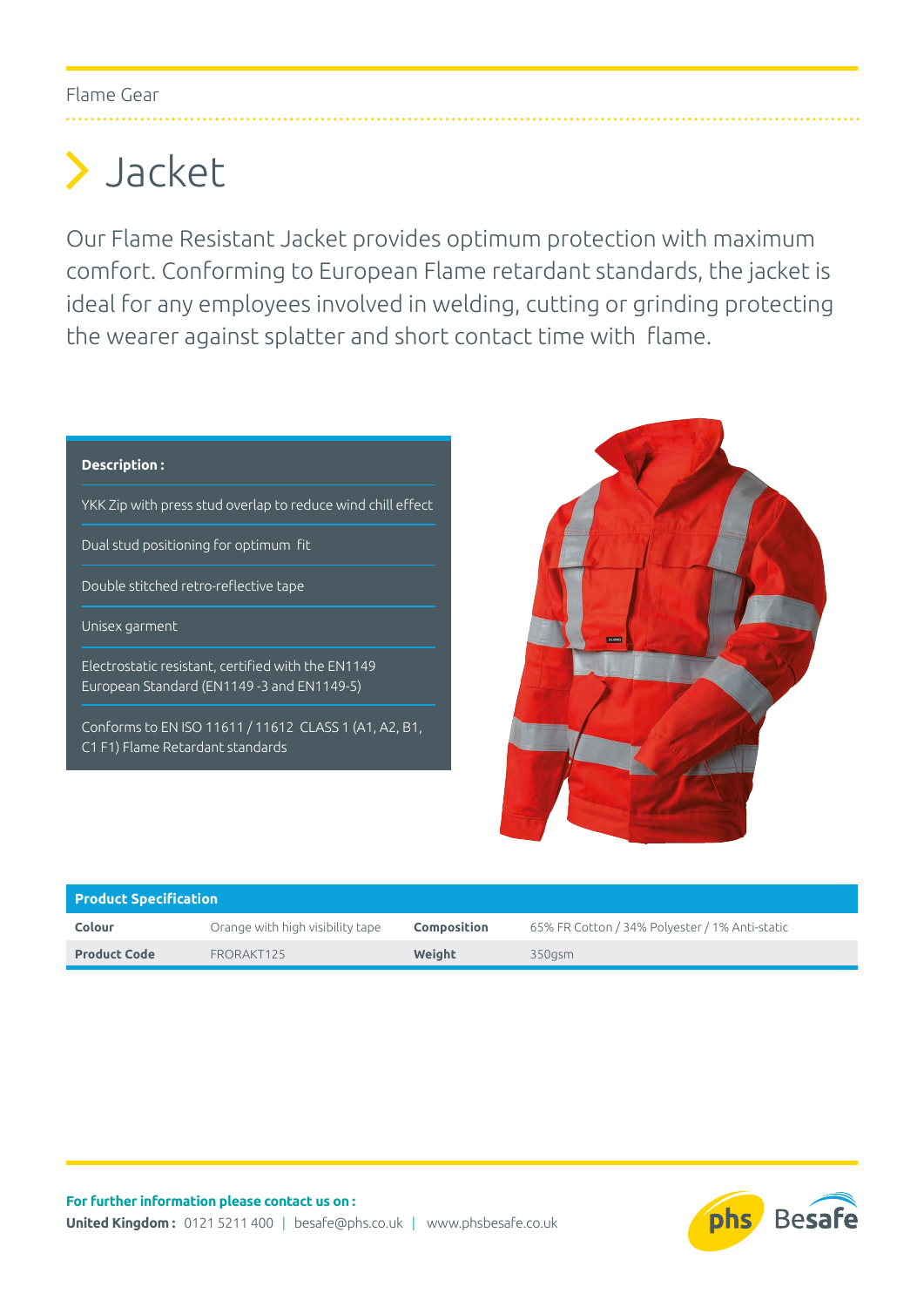## Flame Gear

## Jacket

Our Flame Resistant Jacket provides optimum protection with maximum comfort. Conforming to European Flame retardant standards, the jacket is ideal for any employees involved in welding, cutting or grinding protecting the wearer against splatter and short contact time with flame.

## **Description :**

YKK Zip with press stud overlap to reduce wind chill effect

Dual stud positioning for optimum fit

Double stitched retro-reflective tape

Unisex garment

Electrostatic resistant, certified with the EN1149 European Standard (EN1149 -3 and EN1149-5)

Conforms to EN ISO 11611 / 11612 CLASS 1 (A1, A2, B1, C1 F1) Flame Retardant standards



| <b>Product Specification</b> |                                  |                    |                                                |  |  |
|------------------------------|----------------------------------|--------------------|------------------------------------------------|--|--|
| Colour                       | Orange with high visibility tape | <b>Composition</b> | 65% FR Cotton / 34% Polyester / 1% Anti-static |  |  |
| <b>Product Code</b>          | FRORAKT125                       | Weight             | 350asm                                         |  |  |